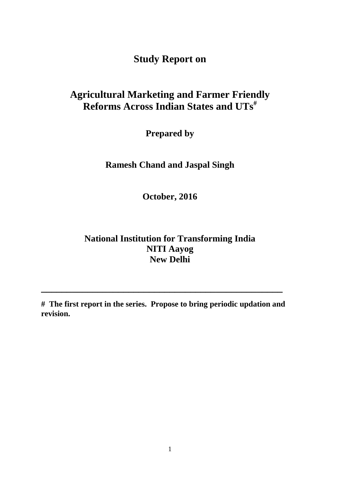**Study Report on**

# **Agricultural Marketing and Farmer Friendly Reforms Across Indian States and UTs#**

**Prepared by**

**Ramesh Chand and Jaspal Singh**

**October, 2016**

## **National Institution for Transforming India NITI Aayog New Delhi**

**# The first report in the series. Propose to bring periodic updation and revision.** 

**\_\_\_\_\_\_\_\_\_\_\_\_\_\_\_\_\_\_\_\_\_\_\_\_\_\_\_\_\_\_\_\_\_\_\_\_\_\_\_\_\_\_\_\_\_\_\_**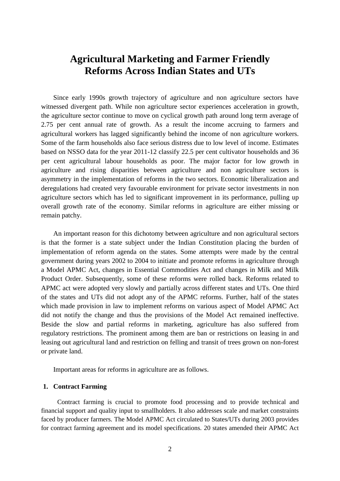## **Agricultural Marketing and Farmer Friendly Reforms Across Indian States and UTs**

Since early 1990s growth trajectory of agriculture and non agriculture sectors have witnessed divergent path. While non agriculture sector experiences acceleration in growth, the agriculture sector continue to move on cyclical growth path around long term average of 2.75 per cent annual rate of growth. As a result the income accruing to farmers and agricultural workers has lagged significantly behind the income of non agriculture workers. Some of the farm households also face serious distress due to low level of income. Estimates based on NSSO data for the year 2011-12 classify 22.5 per cent cultivator households and 36 per cent agricultural labour households as poor. The major factor for low growth in agriculture and rising disparities between agriculture and non agriculture sectors is asymmetry in the implementation of reforms in the two sectors. Economic liberalization and deregulations had created very favourable environment for private sector investments in non agriculture sectors which has led to significant improvement in its performance, pulling up overall growth rate of the economy. Similar reforms in agriculture are either missing or remain patchy.

An important reason for this dichotomy between agriculture and non agricultural sectors is that the former is a state subject under the Indian Constitution placing the burden of implementation of reform agenda on the states. Some attempts were made by the central government during years 2002 to 2004 to initiate and promote reforms in agriculture through a Model APMC Act, changes in Essential Commodities Act and changes in Milk and Milk Product Order. Subsequently, some of these reforms were rolled back. Reforms related to APMC act were adopted very slowly and partially across different states and UTs. One third of the states and UTs did not adopt any of the APMC reforms. Further, half of the states which made provision in law to implement reforms on various aspect of Model APMC Act did not notify the change and thus the provisions of the Model Act remained ineffective. Beside the slow and partial reforms in marketing, agriculture has also suffered from regulatory restrictions. The prominent among them are ban or restrictions on leasing in and leasing out agricultural land and restriction on felling and transit of trees grown on non-forest or private land.

Important areas for reforms in agriculture are as follows.

#### **1. Contract Farming**

Contract farming is crucial to promote food processing and to provide technical and financial support and quality input to smallholders. It also addresses scale and market constraints faced by producer farmers. The Model APMC Act circulated to States/UTs during 2003 provides for contract farming agreement and its model specifications. 20 states amended their APMC Act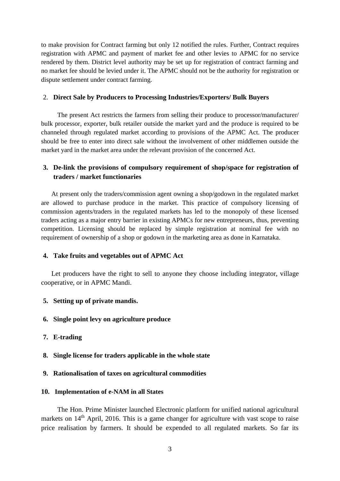to make provision for Contract farming but only 12 notified the rules. Further, Contract requires registration with APMC and payment of market fee and other levies to APMC for no service rendered by them. District level authority may be set up for registration of contract farming and no market fee should be levied under it. The APMC should not be the authority for registration or dispute settlement under contract farming.

#### 2. **Direct Sale by Producers to Processing Industries/Exporters/ Bulk Buyers**

The present Act restricts the farmers from selling their produce to processor/manufacturer/ bulk processor, exporter, bulk retailer outside the market yard and the produce is required to be channeled through regulated market according to provisions of the APMC Act. The producer should be free to enter into direct sale without the involvement of other middlemen outside the market yard in the market area under the relevant provision of the concerned Act.

### **3. De-link the provisions of compulsory requirement of shop/space for registration of traders / market functionaries**

At present only the traders/commission agent owning a shop/godown in the regulated market are allowed to purchase produce in the market. This practice of compulsory licensing of commission agents/traders in the regulated markets has led to the monopoly of these licensed traders acting as a major entry barrier in existing APMCs for new entrepreneurs, thus, preventing competition. Licensing should be replaced by simple registration at nominal fee with no requirement of ownership of a shop or godown in the marketing area as done in Karnataka.

#### **4. Take fruits and vegetables out of APMC Act**

Let producers have the right to sell to anyone they choose including integrator, village cooperative, or in APMC Mandi.

#### **5. Setting up of private mandis.**

- **6. Single point levy on agriculture produce**
- **7. E-trading**
- **8. Single license for traders applicable in the whole state**

#### **9. Rationalisation of taxes on agricultural commodities**

#### **10. Implementation of e-NAM in all States**

The Hon. Prime Minister launched Electronic platform for unified national agricultural markets on  $14<sup>th</sup>$  April, 2016. This is a game changer for agriculture with vast scope to raise price realisation by farmers. It should be expended to all regulated markets. So far its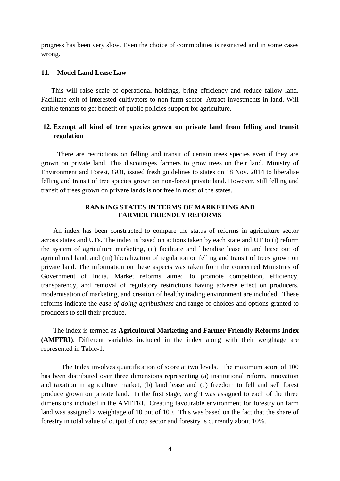progress has been very slow. Even the choice of commodities is restricted and in some cases wrong.

#### **11. Model Land Lease Law**

This will raise scale of operational holdings, bring efficiency and reduce fallow land. Facilitate exit of interested cultivators to non farm sector. Attract investments in land. Will entitle tenants to get benefit of public policies support for agriculture.

## **12. Exempt all kind of tree species grown on private land from felling and transit regulation**

There are restrictions on felling and transit of certain trees species even if they are grown on private land. This discourages farmers to grow trees on their land. Ministry of Environment and Forest, GOI, issued fresh guidelines to states on 18 Nov. 2014 to liberalise felling and transit of tree species grown on non-forest private land. However, still felling and transit of trees grown on private lands is not free in most of the states.

#### **RANKING STATES IN TERMS OF MARKETING AND FARMER FRIENDLY REFORMS**

An index has been constructed to compare the status of reforms in agriculture sector across states and UTs. The index is based on actions taken by each state and UT to (i) reform the system of agriculture marketing, (ii) facilitate and liberalise lease in and lease out of agricultural land, and (iii) liberalization of regulation on felling and transit of trees grown on private land. The information on these aspects was taken from the concerned Ministries of Government of India. Market reforms aimed to promote competition, efficiency, transparency, and removal of regulatory restrictions having adverse effect on producers, modernisation of marketing, and creation of healthy trading environment are included. These reforms indicate the *ease of doing agribusiness* and range of choices and options granted to producers to sell their produce.

The index is termed as **Agricultural Marketing and Farmer Friendly Reforms Index (AMFFRI)**. Different variables included in the index along with their weightage are represented in Table-1.

The Index involves quantification of score at two levels. The maximum score of 100 has been distributed over three dimensions representing (a) institutional reform, innovation and taxation in agriculture market, (b) land lease and (c) freedom to fell and sell forest produce grown on private land. In the first stage, weight was assigned to each of the three dimensions included in the AMFFRI. Creating favourable environment for forestry on farm land was assigned a weightage of 10 out of 100. This was based on the fact that the share of forestry in total value of output of crop sector and forestry is currently about 10%.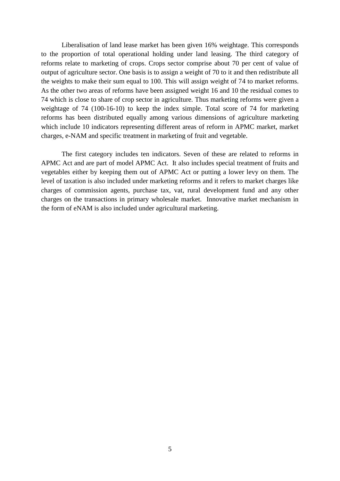Liberalisation of land lease market has been given 16% weightage. This corresponds to the proportion of total operational holding under land leasing. The third category of reforms relate to marketing of crops. Crops sector comprise about 70 per cent of value of output of agriculture sector. One basis is to assign a weight of 70 to it and then redistribute all the weights to make their sum equal to 100. This will assign weight of 74 to market reforms. As the other two areas of reforms have been assigned weight 16 and 10 the residual comes to 74 which is close to share of crop sector in agriculture. Thus marketing reforms were given a weightage of 74 (100-16-10) to keep the index simple. Total score of 74 for marketing reforms has been distributed equally among various dimensions of agriculture marketing which include 10 indicators representing different areas of reform in APMC market, market charges, e-NAM and specific treatment in marketing of fruit and vegetable.

The first category includes ten indicators. Seven of these are related to reforms in APMC Act and are part of model APMC Act. It also includes special treatment of fruits and vegetables either by keeping them out of APMC Act or putting a lower levy on them. The level of taxation is also included under marketing reforms and it refers to market charges like charges of commission agents, purchase tax, vat, rural development fund and any other charges on the transactions in primary wholesale market. Innovative market mechanism in the form of eNAM is also included under agricultural marketing.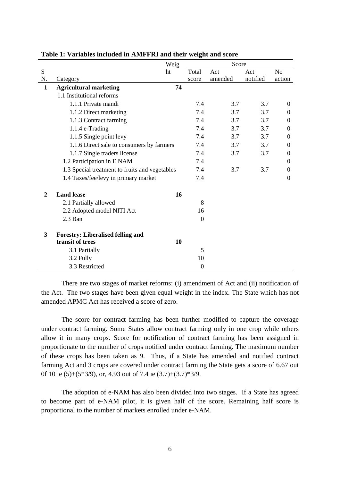|                |                                                | Weig | Score            |         |          |                  |  |
|----------------|------------------------------------------------|------|------------------|---------|----------|------------------|--|
| S              |                                                | ht   | Total            | Act     | Act      | N <sub>o</sub>   |  |
| N.             | Category                                       |      | score            | amended | notified | action           |  |
| $\mathbf{1}$   | <b>Agricultural marketing</b>                  | 74   |                  |         |          |                  |  |
|                | 1.1 Institutional reforms                      |      |                  |         |          |                  |  |
|                | 1.1.1 Private mandi                            |      | 7.4              | 3.7     | 3.7      | $\overline{0}$   |  |
|                | 1.1.2 Direct marketing                         |      | 7.4              | 3.7     | 3.7      | $\Omega$         |  |
|                | 1.1.3 Contract farming                         |      | 7.4              | 3.7     | 3.7      | $\theta$         |  |
|                | 1.1.4 e-Trading                                |      | 7.4              | 3.7     | 3.7      | $\theta$         |  |
|                | 1.1.5 Single point levy                        |      | 7.4              | 3.7     | 3.7      | $\boldsymbol{0}$ |  |
|                | 1.1.6 Direct sale to consumers by farmers      |      | 7.4              | 3.7     | 3.7      | $\boldsymbol{0}$ |  |
|                | 1.1.7 Single traders license                   |      | 7.4              | 3.7     | 3.7      | 0                |  |
|                | 1.2 Participation in E NAM                     |      | 7.4              |         |          | $\boldsymbol{0}$ |  |
|                | 1.3 Special treatment to fruits and vegetables |      | 7.4              | 3.7     | 3.7      | $\boldsymbol{0}$ |  |
|                | 1.4 Taxes/fee/levy in primary market           |      | 7.4              |         |          | $\theta$         |  |
| $\overline{2}$ | <b>Land lease</b>                              | 16   |                  |         |          |                  |  |
|                | 2.1 Partially allowed                          |      | 8                |         |          |                  |  |
|                | 2.2 Adopted model NITI Act                     |      | 16               |         |          |                  |  |
|                | 2.3 Ban                                        |      | $\boldsymbol{0}$ |         |          |                  |  |
| 3              | <b>Forestry: Liberalised felling and</b>       |      |                  |         |          |                  |  |
|                | transit of trees                               | 10   |                  |         |          |                  |  |
|                | 3.1 Partially                                  |      | 5                |         |          |                  |  |
|                | 3.2 Fully                                      |      | 10               |         |          |                  |  |
|                | 3.3 Restricted                                 |      | $\boldsymbol{0}$ |         |          |                  |  |

**Table 1: Variables included in AMFFRI and their weight and score**

There are two stages of market reforms: (i) amendment of Act and (ii) notification of the Act. The two stages have been given equal weight in the index. The State which has not amended APMC Act has received a score of zero.

The score for contract farming has been further modified to capture the coverage under contract farming. Some States allow contract farming only in one crop while others allow it in many crops. Score for notification of contract farming has been assigned in proportionate to the number of crops notified under contract farming. The maximum number of these crops has been taken as 9. Thus, if a State has amended and notified contract farming Act and 3 crops are covered under contract farming the State gets a score of 6.67 out 0f 10 ie (5)+(5\*3/9), or, 4.93 out of 7.4 ie (3.7)+(3.7)\*3/9.

The adoption of e-NAM has also been divided into two stages. If a State has agreed to become part of e-NAM pilot, it is given half of the score. Remaining half score is proportional to the number of markets enrolled under e-NAM.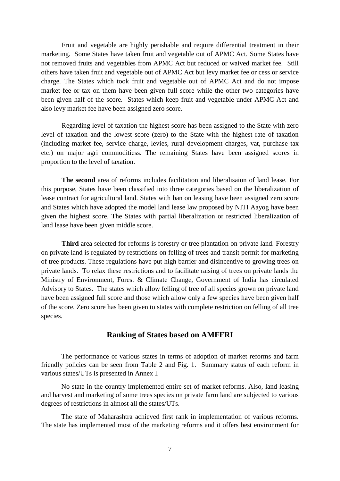Fruit and vegetable are highly perishable and require differential treatment in their marketing. Some States have taken fruit and vegetable out of APMC Act. Some States have not removed fruits and vegetables from APMC Act but reduced or waived market fee. Still others have taken fruit and vegetable out of APMC Act but levy market fee or cess or service charge. The States which took fruit and vegetable out of APMC Act and do not impose market fee or tax on them have been given full score while the other two categories have been given half of the score. States which keep fruit and vegetable under APMC Act and also levy market fee have been assigned zero score.

Regarding level of taxation the highest score has been assigned to the State with zero level of taxation and the lowest score (zero) to the State with the highest rate of taxation (including market fee, service charge, levies, rural development charges, vat, purchase tax etc.) on major agri commoditiess. The remaining States have been assigned scores in proportion to the level of taxation.

**The second** area of reforms includes facilitation and liberalisaion of land lease. For this purpose, States have been classified into three categories based on the liberalization of lease contract for agricultural land. States with ban on leasing have been assigned zero score and States which have adopted the model land lease law proposed by NITI Aayog have been given the highest score. The States with partial liberalization or restricted liberalization of land lease have been given middle score.

**Third** area selected for reforms is forestry or tree plantation on private land. Forestry on private land is regulated by restrictions on felling of trees and transit permit for marketing of tree products. These regulations have put high barrier and disincentive to growing trees on private lands. To relax these restrictions and to facilitate raising of trees on private lands the Ministry of Environment, Forest & Climate Change, Government of India has circulated Advisory to States. The states which allow felling of tree of all species grown on private land have been assigned full score and those which allow only a few species have been given half of the score. Zero score has been given to states with complete restriction on felling of all tree species.

#### **Ranking of States based on AMFFRI**

The performance of various states in terms of adoption of market reforms and farm friendly policies can be seen from Table 2 and Fig. 1. Summary status of each reform in various states/UTs is presented in Annex I.

No state in the country implemented entire set of market reforms. Also, land leasing and harvest and marketing of some trees species on private farm land are subjected to various degrees of restrictions in almost all the states/UTs.

The state of Maharashtra achieved first rank in implementation of various reforms. The state has implemented most of the marketing reforms and it offers best environment for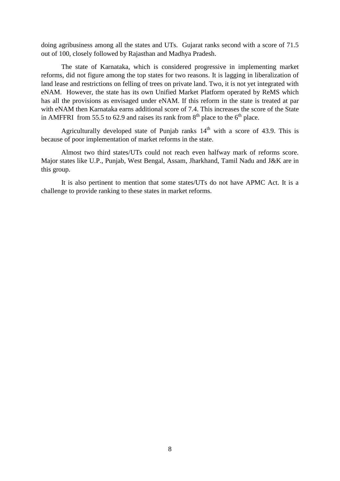doing agribusiness among all the states and UTs. Gujarat ranks second with a score of 71.5 out of 100, closely followed by Rajasthan and Madhya Pradesh.

The state of Karnataka, which is considered progressive in implementing market reforms, did not figure among the top states for two reasons. It is lagging in liberalization of land lease and restrictions on felling of trees on private land. Two, it is not yet integrated with eNAM. However, the state has its own Unified Market Platform operated by ReMS which has all the provisions as envisaged under eNAM. If this reform in the state is treated at par with eNAM then Karnataka earns additional score of 7.4. This increases the score of the State in AMFFRI from 55.5 to 62.9 and raises its rank from  $8<sup>th</sup>$  place to the  $6<sup>th</sup>$  place.

Agriculturally developed state of Punjab ranks  $14<sup>th</sup>$  with a score of 43.9. This is because of poor implementation of market reforms in the state.

Almost two third states/UTs could not reach even halfway mark of reforms score. Major states like U.P., Punjab, West Bengal, Assam, Jharkhand, Tamil Nadu and J&K are in this group.

It is also pertinent to mention that some states/UTs do not have APMC Act. It is a challenge to provide ranking to these states in market reforms.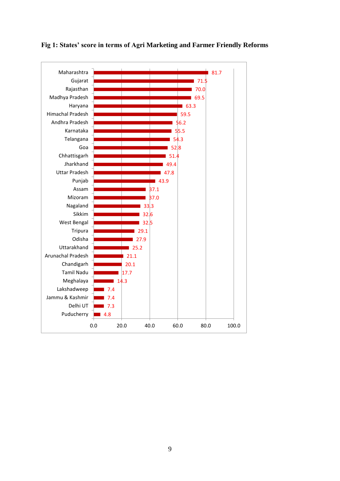

### **Fig 1: States' score in terms of Agri Marketing and Farmer Friendly Reforms**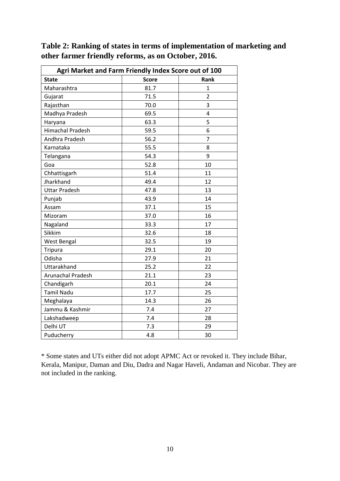**Table 2: Ranking of states in terms of implementation of marketing and other farmer friendly reforms, as on October, 2016.**

| Agri Market and Farm Friendly Index Score out of 100 |              |                |  |  |  |  |  |  |
|------------------------------------------------------|--------------|----------------|--|--|--|--|--|--|
| <b>State</b>                                         | <b>Score</b> | Rank           |  |  |  |  |  |  |
| Maharashtra                                          | 81.7         | $\mathbf{1}$   |  |  |  |  |  |  |
| Gujarat                                              | 71.5         | $\overline{2}$ |  |  |  |  |  |  |
| Rajasthan                                            | 70.0         | 3              |  |  |  |  |  |  |
| Madhya Pradesh                                       | 69.5         | 4              |  |  |  |  |  |  |
| Haryana                                              | 63.3         | 5              |  |  |  |  |  |  |
| <b>Himachal Pradesh</b>                              | 59.5         | 6              |  |  |  |  |  |  |
| Andhra Pradesh                                       | 56.2         | $\overline{7}$ |  |  |  |  |  |  |
| Karnataka                                            | 55.5         | 8              |  |  |  |  |  |  |
| Telangana                                            | 54.3         | 9              |  |  |  |  |  |  |
| Goa                                                  | 52.8         | 10             |  |  |  |  |  |  |
| Chhattisgarh                                         | 51.4         | 11             |  |  |  |  |  |  |
| Jharkhand                                            | 49.4         | 12             |  |  |  |  |  |  |
| <b>Uttar Pradesh</b>                                 | 47.8         | 13             |  |  |  |  |  |  |
| Punjab                                               | 43.9         | 14             |  |  |  |  |  |  |
| Assam                                                | 37.1         | 15             |  |  |  |  |  |  |
| Mizoram                                              | 37.0         | 16             |  |  |  |  |  |  |
| Nagaland                                             | 33.3         | 17             |  |  |  |  |  |  |
| Sikkim                                               | 32.6         | 18             |  |  |  |  |  |  |
| <b>West Bengal</b>                                   | 32.5         | 19             |  |  |  |  |  |  |
| <b>Tripura</b>                                       | 29.1         | 20             |  |  |  |  |  |  |
| Odisha                                               | 27.9         | 21             |  |  |  |  |  |  |
| Uttarakhand                                          | 25.2         | 22             |  |  |  |  |  |  |
| <b>Arunachal Pradesh</b>                             | 21.1         | 23             |  |  |  |  |  |  |
| Chandigarh                                           | 20.1         | 24             |  |  |  |  |  |  |
| <b>Tamil Nadu</b>                                    | 17.7         | 25             |  |  |  |  |  |  |
| Meghalaya                                            | 14.3         | 26             |  |  |  |  |  |  |
| Jammu & Kashmir                                      | 7.4          | 27             |  |  |  |  |  |  |
| Lakshadweep                                          | 7.4          | 28             |  |  |  |  |  |  |
| Delhi UT                                             | 7.3          | 29             |  |  |  |  |  |  |
| Puducherry                                           | 4.8          | 30             |  |  |  |  |  |  |

\* Some states and UTs either did not adopt APMC Act or revoked it. They include Bihar, Kerala, Manipur, Daman and Diu, Dadra and Nagar Haveli, Andaman and Nicobar. They are not included in the ranking.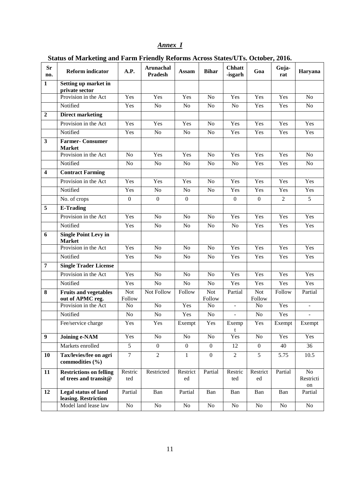## *Annex I*

**Status of Marketing and Farm Friendly Reforms Across States/UTs. October, 2016.**

| <b>Sr</b><br>no.        | <b>Reform indicator</b>                                 | A.P.                 | Arunachal<br><b>Pradesh</b> | <b>Assam</b>     | <b>Bihar</b>         | <b>Chhatt</b><br>-isgarh | Goa                  | Guja-<br>rat   | Haryana                  |
|-------------------------|---------------------------------------------------------|----------------------|-----------------------------|------------------|----------------------|--------------------------|----------------------|----------------|--------------------------|
| $\mathbf{1}$            | Setting up market in<br>private sector                  |                      |                             |                  |                      |                          |                      |                |                          |
|                         | Provision in the Act                                    | Yes                  | Yes                         | Yes              | N <sub>o</sub>       | Yes                      | Yes                  | Yes            | N <sub>o</sub>           |
|                         | Notified                                                | Yes                  | N <sub>o</sub>              | N <sub>o</sub>   | No                   | No                       | Yes                  | Yes            | No                       |
| $\overline{2}$          | <b>Direct marketing</b>                                 |                      |                             |                  |                      |                          |                      |                |                          |
|                         | Provision in the Act                                    | Yes                  | Yes                         | Yes              | No                   | Yes                      | Yes                  | Yes            | Yes                      |
|                         | Notified                                                | Yes                  | N <sub>o</sub>              | No               | No                   | Yes                      | Yes                  | Yes            | Yes                      |
| $\overline{\mathbf{3}}$ | <b>Farmer-Consumer</b><br><b>Market</b>                 |                      |                             |                  |                      |                          |                      |                |                          |
|                         | Provision in the Act                                    | No                   | Yes                         | Yes              | No                   | Yes                      | Yes                  | Yes            | N <sub>o</sub>           |
|                         | Notified                                                | No                   | No                          | No               | No                   | No                       | Yes                  | Yes            | No                       |
| $\overline{\mathbf{4}}$ | <b>Contract Farming</b>                                 |                      |                             |                  |                      |                          |                      |                |                          |
|                         | Provision in the Act                                    | Yes                  | Yes                         | Yes              | No                   | Yes                      | Yes                  | Yes            | Yes                      |
|                         | Notified                                                | Yes                  | No                          | No               | N <sub>o</sub>       | Yes                      | Yes                  | Yes            | Yes                      |
|                         | No. of crops                                            | $\mathbf{0}$         | $\mathbf{0}$                | $\boldsymbol{0}$ |                      | $\mathbf{0}$             | $\boldsymbol{0}$     | $\overline{2}$ | 5                        |
| 5                       | <b>E-Trading</b>                                        |                      |                             |                  |                      |                          |                      |                |                          |
|                         | Provision in the Act                                    | Yes                  | N <sub>o</sub>              | No               | No                   | Yes                      | Yes                  | Yes            | Yes                      |
|                         | Notified                                                | Yes                  | N <sub>o</sub>              | N <sub>o</sub>   | N <sub>o</sub>       | No                       | Yes                  | Yes            | Yes                      |
| 6                       | <b>Single Point Levy in</b><br><b>Market</b>            |                      |                             |                  |                      |                          |                      |                |                          |
|                         | Provision in the Act                                    | Yes                  | N <sub>o</sub>              | No               | N <sub>o</sub>       | Yes                      | Yes                  | Yes            | Yes                      |
|                         | Notified                                                | Yes                  | No                          | N <sub>o</sub>   | No                   | Yes                      | Yes                  | Yes            | Yes                      |
| $\overline{7}$          | <b>Single Trader License</b>                            |                      |                             |                  |                      |                          |                      |                |                          |
|                         | Provision in the Act                                    | Yes                  | No                          | N <sub>o</sub>   | No                   | Yes                      | Yes                  | Yes            | Yes                      |
|                         | Notified                                                | Yes                  | No                          | No               | $\rm No$             | Yes                      | Yes                  | Yes            | Yes                      |
| 8                       | <b>Fruits and vegetables</b><br>out of APMC reg.        | <b>Not</b><br>Follow | Not Follow                  | Follow           | <b>Not</b><br>Follow | Partial                  | <b>Not</b><br>Follow | Follow         | Partial                  |
|                         | Provision in the Act                                    | No                   | No                          | Yes              | No                   | $\equiv$                 | No                   | Yes            | $\overline{\phantom{a}}$ |
|                         | Notified                                                | No                   | No                          | Yes              | No                   | $\mathbf{r}$             | No                   | Yes            | $\blacksquare$           |
|                         | Fee/service charge                                      | Yes                  | Yes                         | Exempt           | Yes                  | Exemp<br>t               | Yes                  | Exempt         | Exempt                   |
| $\boldsymbol{9}$        | <b>Joining e-NAM</b>                                    | Yes                  | No                          | N <sub>o</sub>   | $\rm No$             | Yes                      | $\rm No$             | Yes            | Yes                      |
|                         | Markets enrolled                                        | 5                    | $\overline{0}$              | $\overline{0}$   | $\mathbf{0}$         | 12                       | $\overline{0}$       | 40             | 36                       |
| 10                      | Tax/levies/fee on agri<br>commodities (%)               | $\overline{7}$       | $\overline{2}$              | $\mathbf{1}$     | $\overline{0}$       | $\overline{2}$           | 5                    | 5.75           | 10.5                     |
| 11                      | <b>Restrictions on felling</b><br>of trees and transit@ | Restric<br>ted       | Restricted                  | Restrict<br>ed   | Partial              | Restric<br>ted           | Restrict<br>ed       | Partial        | No<br>Restricti<br>on    |
| 12                      | Legal status of land<br>leasing. Restriction            | Partial              | Ban                         | Partial          | Ban                  | Ban                      | Ban                  | Ban            | Partial                  |
|                         | Model land lease law                                    | No                   | No                          | $\rm No$         | No                   | No                       | No                   | No             | No                       |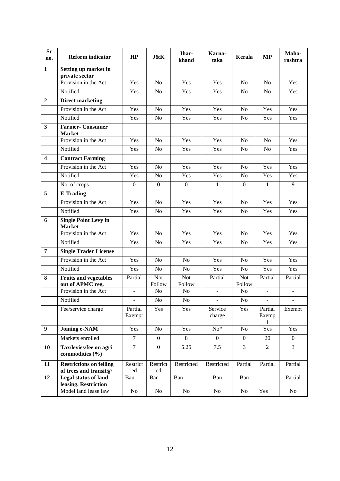| <b>Sr</b><br>no.        | <b>Reform indicator</b>                          | HP                | <b>J&amp;K</b>       | Jhar-<br>khand   | Karna-<br>taka           | Kerala               | <b>MP</b>                | Maha-<br>rashtra |
|-------------------------|--------------------------------------------------|-------------------|----------------------|------------------|--------------------------|----------------------|--------------------------|------------------|
| $\mathbf{1}$            | Setting up market in<br>private sector           |                   |                      |                  |                          |                      |                          |                  |
|                         | Provision in the Act                             | Yes               | N <sub>o</sub>       | Yes              | Yes                      | N <sub>o</sub>       | N <sub>o</sub>           | Yes              |
|                         | Notified                                         | Yes               | N <sub>o</sub>       | Yes              | Yes                      | N <sub>o</sub>       | N <sub>o</sub>           | Yes              |
| $\overline{2}$          | <b>Direct marketing</b>                          |                   |                      |                  |                          |                      |                          |                  |
|                         | Provision in the Act                             | Yes               | N <sub>o</sub>       | Yes              | Yes                      | N <sub>o</sub>       | Yes                      | Yes              |
|                         | Notified                                         | Yes               | N <sub>o</sub>       | Yes              | Yes                      | N <sub>o</sub>       | Yes                      | Yes              |
| $\overline{\mathbf{3}}$ | <b>Farmer-Consumer</b><br><b>Market</b>          |                   |                      |                  |                          |                      |                          |                  |
|                         | Provision in the Act                             | Yes               | N <sub>o</sub>       | Yes              | Yes                      | N <sub>o</sub>       | N <sub>o</sub>           | Yes              |
|                         | Notified                                         | Yes               | N <sub>o</sub>       | Yes              | Yes                      | No                   | No                       | Yes              |
| $\overline{\mathbf{4}}$ | <b>Contract Farming</b>                          |                   |                      |                  |                          |                      |                          |                  |
|                         | Provision in the Act                             | Yes               | N <sub>o</sub>       | Yes              | Yes                      | No                   | Yes                      | Yes              |
|                         | Notified                                         | Yes               | N <sub>o</sub>       | Yes              | Yes                      | N <sub>o</sub>       | Yes                      | Yes              |
|                         | No. of crops                                     | $\overline{0}$    | $\mathbf{0}$         | $\boldsymbol{0}$ | $\mathbf{1}$             | $\overline{0}$       | $\mathbf{1}$             | 9                |
| 5                       | <b>E-Trading</b>                                 |                   |                      |                  |                          |                      |                          |                  |
|                         | Provision in the Act                             | Yes               | N <sub>o</sub>       | Yes              | Yes                      | $\rm No$             | Yes                      | Yes              |
|                         | Notified                                         | Yes               | N <sub>o</sub>       | Yes              | Yes                      | N <sub>o</sub>       | Yes                      | Yes              |
| 6                       | <b>Single Point Levy in</b><br><b>Market</b>     |                   |                      |                  |                          |                      |                          |                  |
|                         | Provision in the Act                             | Yes               | N <sub>o</sub>       | Yes              | Yes                      | N <sub>o</sub>       | Yes                      | Yes              |
|                         | Notified                                         | Yes               | N <sub>o</sub>       | Yes              | Yes                      | N <sub>o</sub>       | Yes                      | Yes              |
| $\overline{7}$          | <b>Single Trader License</b>                     |                   |                      |                  |                          |                      |                          |                  |
|                         | Provision in the Act                             | Yes               | N <sub>o</sub>       | N <sub>o</sub>   | Yes                      | N <sub>o</sub>       | Yes                      | Yes              |
|                         | Notified                                         | Yes               | N <sub>o</sub>       | N <sub>o</sub>   | Yes                      | N <sub>o</sub>       | Yes                      | Yes              |
| 8                       | <b>Fruits and vegetables</b><br>out of APMC reg. | Partial           | <b>Not</b><br>Follow | Not<br>Follow    | Partial                  | <b>Not</b><br>Follow | Partial                  | Partial          |
|                         | Provision in the Act                             | $\blacksquare$    | N <sub>0</sub>       | N <sub>0</sub>   | $\overline{\phantom{a}}$ | No                   | $\overline{\phantom{a}}$ | $\Box$           |
|                         | Notified                                         |                   | No                   | N <sub>o</sub>   |                          | No                   |                          |                  |
|                         | Fee/service charge                               | Partial<br>Exempt | Yes                  | Yes              | Service<br>charge        | Yes                  | Partial<br>Exemp<br>t    | Exempt           |
| $\boldsymbol{9}$        | Joining e-NAM                                    | $\overline{Y}$ es | No                   | Yes              | $No*$                    | No                   | Yes                      | Yes              |
|                         | Markets enrolled                                 | $\overline{7}$    | $\mathbf{0}$         | $\overline{8}$   | $\overline{0}$           | $\boldsymbol{0}$     | 20                       | $\mathbf{0}$     |
| 10                      | Tax/levies/fee on agri<br>commodities (%)        | $\overline{7}$    | $\overline{0}$       | 5.25             | 7.5                      | $\overline{3}$       | $\overline{2}$           | $\overline{3}$   |
| 11                      | <b>Restrictions on felling</b>                   | Restrict          | Restrict             | Restricted       | Restricted               | Partial              | Partial                  | Partial          |
| 12                      | of trees and transit@<br>Legal status of land    | ed                | ed                   |                  |                          |                      |                          |                  |
|                         | leasing. Restriction                             | Ban               | Ban                  | Ban              | Ban                      | Ban                  |                          | Partial          |
|                         | Model land lease law                             | No                | No                   | No               | No                       | No                   | Yes                      | No               |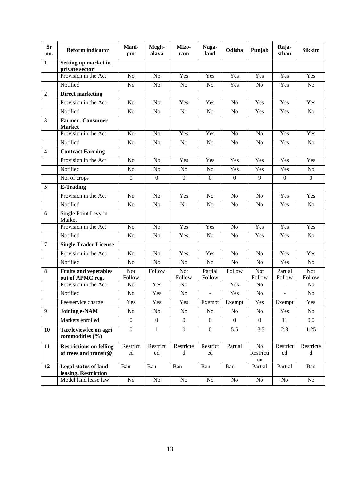| <b>Sr</b><br>no.        | <b>Reform indicator</b>                                 | Mani-<br>pur         | Megh-<br>alaya   | Mizo-<br>ram                                                                                              | Naga-<br>land     | Odisha           | Punjab                | Raja-<br>sthan    | <b>Sikkim</b>        |
|-------------------------|---------------------------------------------------------|----------------------|------------------|-----------------------------------------------------------------------------------------------------------|-------------------|------------------|-----------------------|-------------------|----------------------|
| $\mathbf{1}$            | Setting up market in<br>private sector                  |                      |                  |                                                                                                           |                   |                  |                       |                   |                      |
|                         | Provision in the Act                                    | N <sub>o</sub>       | No               | Yes                                                                                                       | Yes               | Yes              | Yes                   | Yes               | Yes                  |
|                         | Notified                                                | N <sub>o</sub>       | ${\rm No}$       | N <sub>o</sub>                                                                                            | No                | Yes              | $\rm No$              | Yes               | N <sub>o</sub>       |
| $\overline{2}$          | <b>Direct marketing</b>                                 |                      |                  |                                                                                                           |                   |                  |                       |                   |                      |
|                         | Provision in the Act                                    | N <sub>o</sub>       | N <sub>o</sub>   | Yes                                                                                                       | Yes               | N <sub>o</sub>   | Yes                   | Yes               | Yes                  |
|                         | Notified                                                | No                   | No               | No                                                                                                        | No                | N <sub>o</sub>   | Yes                   | Yes               | No                   |
| $\mathbf{3}$            | <b>Farmer- Consumer</b><br><b>Market</b>                |                      |                  |                                                                                                           |                   |                  |                       |                   |                      |
|                         | Provision in the Act                                    | No                   | No               | Yes                                                                                                       | Yes               | N <sub>o</sub>   | No                    | Yes               | Yes                  |
|                         | Notified                                                | N <sub>o</sub>       | N <sub>o</sub>   | N <sub>o</sub>                                                                                            | N <sub>o</sub>    | N <sub>o</sub>   | N <sub>o</sub>        | Yes               | N <sub>o</sub>       |
| $\overline{\mathbf{4}}$ | <b>Contract Farming</b>                                 |                      |                  |                                                                                                           |                   |                  |                       |                   |                      |
|                         | Provision in the Act                                    | N <sub>o</sub>       | No               | Yes                                                                                                       | Yes               | Yes              | Yes                   | Yes               | Yes                  |
|                         | Notified                                                | N <sub>o</sub>       | N <sub>o</sub>   | N <sub>o</sub>                                                                                            | No                | Yes              | Yes                   | Yes               | No                   |
|                         | No. of crops                                            | $\mathbf{0}$         | $\boldsymbol{0}$ | $\boldsymbol{0}$                                                                                          | $\boldsymbol{0}$  | $\boldsymbol{0}$ | 9                     | $\boldsymbol{0}$  | $\mathbf{0}$         |
| 5                       | <b>E-Trading</b>                                        |                      |                  |                                                                                                           |                   |                  |                       |                   |                      |
|                         | Provision in the Act                                    | N <sub>o</sub>       | N <sub>o</sub>   | Yes                                                                                                       | N <sub>o</sub>    | N <sub>o</sub>   | N <sub>o</sub>        | Yes               | Yes                  |
|                         | Notified                                                | N <sub>o</sub>       | No               | N <sub>o</sub>                                                                                            | No                | N <sub>o</sub>   | No                    | Yes               | N <sub>o</sub>       |
| 6                       | Single Point Levy in<br>Market                          |                      |                  |                                                                                                           |                   |                  |                       |                   |                      |
|                         | Provision in the Act                                    | No                   | No               | Yes                                                                                                       | Yes               | N <sub>o</sub>   | Yes                   | Yes               | Yes                  |
|                         | Notified                                                | N <sub>o</sub>       | N <sub>o</sub>   | Yes                                                                                                       | No                | N <sub>o</sub>   | Yes                   | Yes               | N <sub>o</sub>       |
| $\overline{7}$          | <b>Single Trader License</b>                            |                      |                  |                                                                                                           |                   |                  |                       |                   |                      |
|                         | Provision in the Act                                    | N <sub>o</sub>       | N <sub>o</sub>   | Yes                                                                                                       | Yes               | N <sub>o</sub>   | N <sub>o</sub>        | Yes               | Yes                  |
|                         | Notified                                                | No                   | No               | No                                                                                                        | No                | N <sub>o</sub>   | N <sub>o</sub>        | Yes               | N <sub>o</sub>       |
| 8                       | <b>Fruits and vegetables</b><br>out of APMC reg.        | <b>Not</b><br>Follow | Follow           | <b>Not</b><br>Follow                                                                                      | Partial<br>Follow | Follow           | <b>Not</b><br>Follow  | Partial<br>Follow | <b>Not</b><br>Follow |
|                         | Provision in the Act                                    | No                   | Yes              | N <sub>o</sub>                                                                                            |                   | Yes              | No                    | $\blacksquare$    | N <sub>o</sub>       |
|                         | Notified                                                | N <sub>o</sub>       | Yes              | N <sub>o</sub>                                                                                            | $\equiv$          | Yes              | N <sub>o</sub>        | $\equiv$          | N <sub>o</sub>       |
|                         | Fee/service charge                                      | Yes                  | Yes              | Yes                                                                                                       | Exempt            | Exempt           | Yes                   | Exempt            | Yes                  |
| $\boldsymbol{9}$        | <b>Joining e-NAM</b>                                    | No                   | No               | No                                                                                                        | No                | No               | No                    | Yes               | No                   |
|                         | Markets enrolled                                        | $\boldsymbol{0}$     | $\boldsymbol{0}$ | $\mathbf{0}$                                                                                              | $\boldsymbol{0}$  | $\overline{0}$   | $\overline{0}$        | 11                | $0.0\,$              |
| 10                      | Tax/levies/fee on agri<br>commodities (%)               | $\mathbf{0}$         | $\mathbf{1}$     | $\mathbf{0}$                                                                                              | $\boldsymbol{0}$  | 5.5              | 13.5                  | 2.8               | 1.25                 |
| 11                      | <b>Restrictions on felling</b><br>of trees and transit@ | Restrict<br>ed       | Restrict<br>ed   | Restricte<br>$\mathrm{d}% \left\vert \mathcal{H}\right\vert =\mathrm{d}\left\vert \mathcal{H}\right\vert$ | Restrict<br>ed    | Partial          | No<br>Restricti<br>on | Restrict<br>ed    | Restricte<br>d       |
| 12                      | Legal status of land<br>leasing. Restriction            | Ban                  | Ban              | Ban                                                                                                       | Ban               | Ban              | Partial               | Partial           | Ban                  |
|                         | Model land lease law                                    | No                   | No               | No                                                                                                        | No                | No               | $\rm No$              | No                | No                   |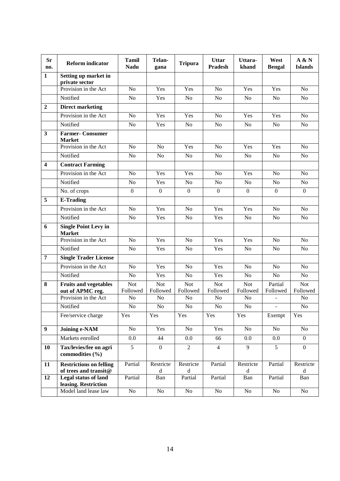| <b>Sr</b><br>no.        | <b>Reform indicator</b>                       | <b>Tamil</b><br><b>Nadu</b> | Telan-<br>gana                                        | <b>Tripura</b>             | <b>Uttar</b><br>Pradesh    | Uttara-<br>khand           | West<br><b>Bengal</b>      | A & N<br><b>Islands</b>    |
|-------------------------|-----------------------------------------------|-----------------------------|-------------------------------------------------------|----------------------------|----------------------------|----------------------------|----------------------------|----------------------------|
| $\mathbf{1}$            | Setting up market in<br>private sector        |                             |                                                       |                            |                            |                            |                            |                            |
|                         | Provision in the Act                          | N <sub>o</sub>              | Yes                                                   | Yes                        | No                         | Yes                        | Yes                        | N <sub>o</sub>             |
|                         | Notified                                      | N <sub>o</sub>              | Yes                                                   | N <sub>o</sub>             | N <sub>o</sub>             | N <sub>o</sub>             | N <sub>o</sub>             | N <sub>o</sub>             |
| $\overline{2}$          | <b>Direct marketing</b>                       |                             |                                                       |                            |                            |                            |                            |                            |
|                         | Provision in the Act                          | No                          | Yes                                                   | $\overline{Y}$ es          | No                         | Yes                        | Yes                        | N <sub>o</sub>             |
|                         | Notified                                      | N <sub>o</sub>              | Yes                                                   | N <sub>o</sub>             | $\overline{N}$             | No                         | N <sub>o</sub>             | N <sub>o</sub>             |
| $\mathbf{3}$            | <b>Farmer- Consumer</b><br><b>Market</b>      |                             |                                                       |                            |                            |                            |                            |                            |
|                         | Provision in the Act                          | N <sub>o</sub>              | N <sub>o</sub>                                        | Yes                        | $\overline{No}$            | Yes                        | Yes                        | N <sub>o</sub>             |
|                         | Notified                                      | N <sub>o</sub>              | N <sub>o</sub>                                        | N <sub>o</sub>             | N <sub>o</sub>             | N <sub>o</sub>             | N <sub>o</sub>             | N <sub>o</sub>             |
| $\overline{\mathbf{4}}$ | <b>Contract Farming</b>                       |                             |                                                       |                            |                            |                            |                            |                            |
|                         | Provision in the Act                          | N <sub>o</sub>              | Yes                                                   | Yes                        | No                         | Yes                        | N <sub>o</sub>             | N <sub>o</sub>             |
|                         | Notified                                      | N <sub>o</sub>              | Yes                                                   | N <sub>o</sub>             | N <sub>o</sub>             | N <sub>o</sub>             | N <sub>o</sub>             | N <sub>o</sub>             |
|                         | $\overline{No}$ . of crops                    | $\boldsymbol{0}$            | $\boldsymbol{0}$                                      | $\boldsymbol{0}$           | $\boldsymbol{0}$           | $\boldsymbol{0}$           | $\mathbf{0}$               | $\boldsymbol{0}$           |
| 5                       | <b>E-Trading</b>                              |                             |                                                       |                            |                            |                            |                            |                            |
|                         | Provision in the Act                          | N <sub>o</sub>              | Yes                                                   | N <sub>o</sub>             | Yes                        | Yes                        | N <sub>o</sub>             | N <sub>o</sub>             |
|                         | Notified                                      | N <sub>o</sub>              | Yes                                                   | No                         | Yes                        | No                         | No                         | N <sub>o</sub>             |
| 6                       | <b>Single Point Levy in</b><br><b>Market</b>  |                             |                                                       |                            |                            |                            |                            |                            |
|                         | Provision in the Act                          | No                          | Yes                                                   | No                         | Yes                        | Yes                        | No                         | N <sub>o</sub>             |
|                         | Notified                                      | N <sub>o</sub>              | Yes                                                   | N <sub>o</sub>             | Yes                        | N <sub>o</sub>             | N <sub>o</sub>             | N <sub>o</sub>             |
| $\overline{7}$          | <b>Single Trader License</b>                  |                             |                                                       |                            |                            |                            |                            |                            |
|                         | Provision in the Act                          | N <sub>o</sub>              | Yes                                                   | N <sub>o</sub>             | Yes                        | N <sub>o</sub>             | No                         | N <sub>o</sub>             |
|                         | Notified                                      | N <sub>o</sub>              | Yes                                                   | N <sub>o</sub>             | Yes                        | N <sub>o</sub>             | N <sub>o</sub>             | N <sub>o</sub>             |
| 8                       | <b>Fruits and vegetables</b>                  | <b>Not</b>                  | <b>Not</b>                                            | <b>Not</b>                 | Not                        | Not                        | Partial                    | <b>Not</b>                 |
|                         | out of APMC reg.<br>Provision in the Act      | Followed<br>No              | Followed<br>N <sub>o</sub>                            | Followed<br>N <sub>o</sub> | Followed<br>N <sub>o</sub> | Followed<br>N <sub>o</sub> | Followed<br>$\overline{a}$ | Followed<br>N <sub>o</sub> |
|                         | Notified                                      | N <sub>o</sub>              | N <sub>o</sub>                                        | N <sub>o</sub>             | $\rm No$                   | N <sub>o</sub>             | $\overline{\phantom{a}}$   | N <sub>o</sub>             |
|                         | Fee/service charge                            | Yes                         | Yes                                                   | Yes                        | Yes                        | Yes                        | Exempt                     | Yes                        |
| $\boldsymbol{9}$        | <b>Joining e-NAM</b>                          | N <sub>o</sub>              | Yes                                                   | No                         | Yes                        | No                         | No                         | No                         |
|                         | Markets enrolled                              | $0.0\,$                     | 44                                                    | 0.0                        | 66                         | $0.0\,$                    | 0.0                        | $\overline{0}$             |
|                         |                                               | $\overline{5}$              | $\overline{0}$                                        | $\overline{2}$             | $\overline{4}$             | 9                          | $\overline{5}$             | $\overline{0}$             |
| 10                      | Tax/levies/fee on agri<br>commodities $(\% )$ |                             |                                                       |                            |                            |                            |                            |                            |
| 11                      | <b>Restrictions on felling</b>                | Partial                     | Restricte                                             | Restricte                  | Partial                    | Restricte                  | Partial                    | Restricte                  |
| 12                      | of trees and transit@<br>Legal status of land | Partial                     | $\mathrm{d}% \left\  \mathcal{H}\right\  _{A}$<br>Ban | $\mathbf d$<br>Partial     | Partial                    | $\mathbf d$<br>Ban         | Partial                    | $\mathbf d$<br>Ban         |
|                         | leasing. Restriction                          |                             |                                                       |                            |                            |                            |                            |                            |
|                         | Model land lease law                          | No                          | No                                                    | No                         | No                         | No                         | No                         | No                         |